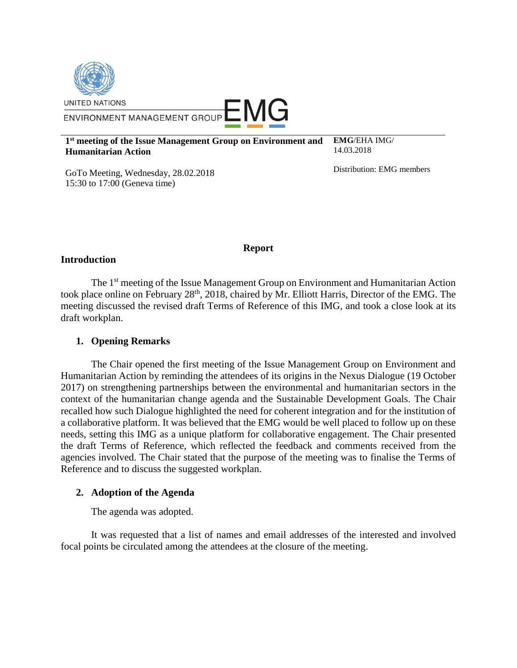

#### **1 st meeting of the Issue Management Group on Environment and Humanitarian Action**

**EMG**/EHA IMG/ 14.03.2018

GoTo Meeting, Wednesday, 28.02.2018 15:30 to 17:00 (Geneva time)

Distribution: EMG members

#### **Report**

#### **Introduction**

The 1<sup>st</sup> meeting of the Issue Management Group on Environment and Humanitarian Action took place online on February 28<sup>th</sup>, 2018, chaired by Mr. Elliott Harris, Director of the EMG. The meeting discussed the revised draft Terms of Reference of this IMG, and took a close look at its draft workplan.

## **1. Opening Remarks**

The Chair opened the first meeting of the Issue Management Group on Environment and Humanitarian Action by reminding the attendees of its origins in the Nexus Dialogue (19 October 2017) on strengthening partnerships between the environmental and humanitarian sectors in the context of the humanitarian change agenda and the Sustainable Development Goals. The Chair recalled how such Dialogue highlighted the need for coherent integration and for the institution of a collaborative platform. It was believed that the EMG would be well placed to follow up on these needs, setting this IMG as a unique platform for collaborative engagement. The Chair presented the draft Terms of Reference, which reflected the feedback and comments received from the agencies involved. The Chair stated that the purpose of the meeting was to finalise the Terms of Reference and to discuss the suggested workplan.

## **2. Adoption of the Agenda**

The agenda was adopted.

It was requested that a list of names and email addresses of the interested and involved focal points be circulated among the attendees at the closure of the meeting.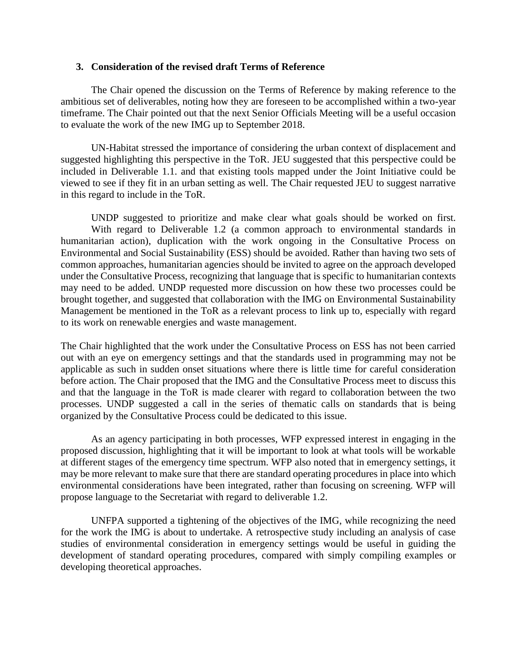#### **3. Consideration of the revised draft Terms of Reference**

The Chair opened the discussion on the Terms of Reference by making reference to the ambitious set of deliverables, noting how they are foreseen to be accomplished within a two-year timeframe. The Chair pointed out that the next Senior Officials Meeting will be a useful occasion to evaluate the work of the new IMG up to September 2018.

UN-Habitat stressed the importance of considering the urban context of displacement and suggested highlighting this perspective in the ToR. JEU suggested that this perspective could be included in Deliverable 1.1. and that existing tools mapped under the Joint Initiative could be viewed to see if they fit in an urban setting as well. The Chair requested JEU to suggest narrative in this regard to include in the ToR.

UNDP suggested to prioritize and make clear what goals should be worked on first. With regard to Deliverable 1.2 (a common approach to environmental standards in humanitarian action), duplication with the work ongoing in the Consultative Process on Environmental and Social Sustainability (ESS) should be avoided. Rather than having two sets of common approaches, humanitarian agencies should be invited to agree on the approach developed under the Consultative Process, recognizing that language that is specific to humanitarian contexts may need to be added. UNDP requested more discussion on how these two processes could be brought together, and suggested that collaboration with the IMG on Environmental Sustainability Management be mentioned in the ToR as a relevant process to link up to, especially with regard to its work on renewable energies and waste management.

The Chair highlighted that the work under the Consultative Process on ESS has not been carried out with an eye on emergency settings and that the standards used in programming may not be applicable as such in sudden onset situations where there is little time for careful consideration before action. The Chair proposed that the IMG and the Consultative Process meet to discuss this and that the language in the ToR is made clearer with regard to collaboration between the two processes. UNDP suggested a call in the series of thematic calls on standards that is being organized by the Consultative Process could be dedicated to this issue.

As an agency participating in both processes, WFP expressed interest in engaging in the proposed discussion, highlighting that it will be important to look at what tools will be workable at different stages of the emergency time spectrum. WFP also noted that in emergency settings, it may be more relevant to make sure that there are standard operating procedures in place into which environmental considerations have been integrated, rather than focusing on screening. WFP will propose language to the Secretariat with regard to deliverable 1.2.

UNFPA supported a tightening of the objectives of the IMG, while recognizing the need for the work the IMG is about to undertake. A retrospective study including an analysis of case studies of environmental consideration in emergency settings would be useful in guiding the development of standard operating procedures, compared with simply compiling examples or developing theoretical approaches.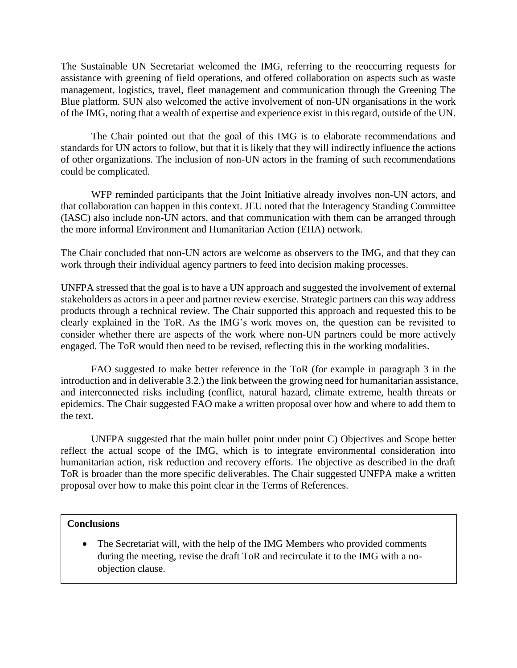The Sustainable UN Secretariat welcomed the IMG, referring to the reoccurring requests for assistance with greening of field operations, and offered collaboration on aspects such as waste management, logistics, travel, fleet management and communication through the Greening The Blue platform. SUN also welcomed the active involvement of non-UN organisations in the work of the IMG, noting that a wealth of expertise and experience exist in this regard, outside of the UN.

The Chair pointed out that the goal of this IMG is to elaborate recommendations and standards for UN actors to follow, but that it is likely that they will indirectly influence the actions of other organizations. The inclusion of non-UN actors in the framing of such recommendations could be complicated.

WFP reminded participants that the Joint Initiative already involves non-UN actors, and that collaboration can happen in this context. JEU noted that the Interagency Standing Committee (IASC) also include non-UN actors, and that communication with them can be arranged through the more informal Environment and Humanitarian Action (EHA) network.

The Chair concluded that non-UN actors are welcome as observers to the IMG, and that they can work through their individual agency partners to feed into decision making processes.

UNFPA stressed that the goal is to have a UN approach and suggested the involvement of external stakeholders as actors in a peer and partner review exercise. Strategic partners can this way address products through a technical review. The Chair supported this approach and requested this to be clearly explained in the ToR. As the IMG's work moves on, the question can be revisited to consider whether there are aspects of the work where non-UN partners could be more actively engaged. The ToR would then need to be revised, reflecting this in the working modalities.

FAO suggested to make better reference in the ToR (for example in paragraph 3 in the introduction and in deliverable 3.2.) the link between the growing need for humanitarian assistance, and interconnected risks including (conflict, natural hazard, climate extreme, health threats or epidemics. The Chair suggested FAO make a written proposal over how and where to add them to the text.

UNFPA suggested that the main bullet point under point C) Objectives and Scope better reflect the actual scope of the IMG, which is to integrate environmental consideration into humanitarian action, risk reduction and recovery efforts. The objective as described in the draft ToR is broader than the more specific deliverables. The Chair suggested UNFPA make a written proposal over how to make this point clear in the Terms of References.

## **Conclusions**

• The Secretariat will, with the help of the IMG Members who provided comments during the meeting, revise the draft ToR and recirculate it to the IMG with a noobjection clause.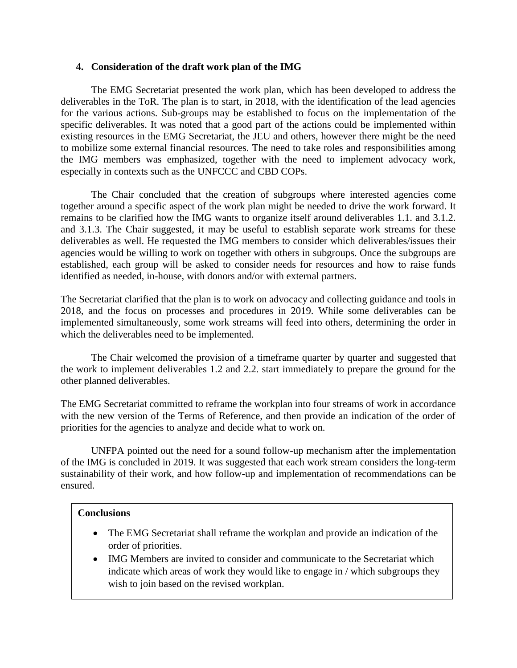## **4. Consideration of the draft work plan of the IMG**

The EMG Secretariat presented the work plan, which has been developed to address the deliverables in the ToR. The plan is to start, in 2018, with the identification of the lead agencies for the various actions. Sub-groups may be established to focus on the implementation of the specific deliverables. It was noted that a good part of the actions could be implemented within existing resources in the EMG Secretariat, the JEU and others, however there might be the need to mobilize some external financial resources. The need to take roles and responsibilities among the IMG members was emphasized, together with the need to implement advocacy work, especially in contexts such as the UNFCCC and CBD COPs.

The Chair concluded that the creation of subgroups where interested agencies come together around a specific aspect of the work plan might be needed to drive the work forward. It remains to be clarified how the IMG wants to organize itself around deliverables 1.1. and 3.1.2. and 3.1.3. The Chair suggested, it may be useful to establish separate work streams for these deliverables as well. He requested the IMG members to consider which deliverables/issues their agencies would be willing to work on together with others in subgroups. Once the subgroups are established, each group will be asked to consider needs for resources and how to raise funds identified as needed, in-house, with donors and/or with external partners.

The Secretariat clarified that the plan is to work on advocacy and collecting guidance and tools in 2018, and the focus on processes and procedures in 2019. While some deliverables can be implemented simultaneously, some work streams will feed into others, determining the order in which the deliverables need to be implemented.

The Chair welcomed the provision of a timeframe quarter by quarter and suggested that the work to implement deliverables 1.2 and 2.2. start immediately to prepare the ground for the other planned deliverables.

The EMG Secretariat committed to reframe the workplan into four streams of work in accordance with the new version of the Terms of Reference, and then provide an indication of the order of priorities for the agencies to analyze and decide what to work on.

UNFPA pointed out the need for a sound follow-up mechanism after the implementation of the IMG is concluded in 2019. It was suggested that each work stream considers the long-term sustainability of their work, and how follow-up and implementation of recommendations can be ensured.

## **Conclusions**

- The EMG Secretariat shall reframe the workplan and provide an indication of the order of priorities.
- IMG Members are invited to consider and communicate to the Secretariat which indicate which areas of work they would like to engage in / which subgroups they wish to join based on the revised workplan.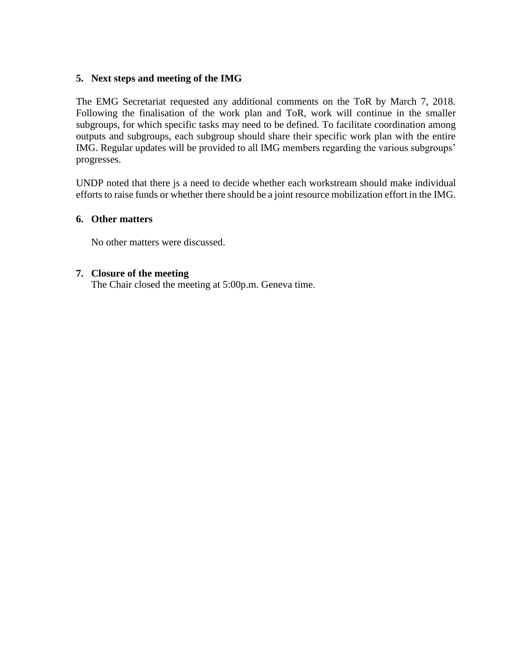# **5. Next steps and meeting of the IMG**

The EMG Secretariat requested any additional comments on the ToR by March 7, 2018. Following the finalisation of the work plan and ToR, work will continue in the smaller subgroups, for which specific tasks may need to be defined. To facilitate coordination among outputs and subgroups, each subgroup should share their specific work plan with the entire IMG. Regular updates will be provided to all IMG members regarding the various subgroups' progresses.

UNDP noted that there js a need to decide whether each workstream should make individual efforts to raise funds or whether there should be a joint resource mobilization effort in the IMG.

## **6. Other matters**

No other matters were discussed.

# **7. Closure of the meeting**

The Chair closed the meeting at 5:00p.m. Geneva time.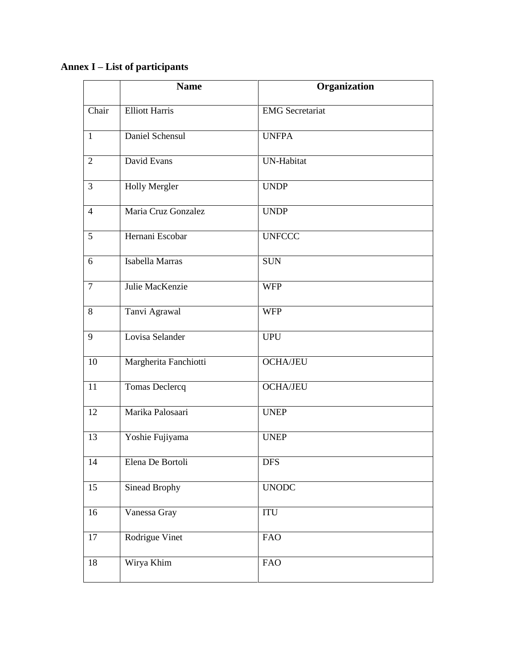**Annex I – List of participants**

|                | <b>Name</b>           | Organization           |
|----------------|-----------------------|------------------------|
| Chair          | <b>Elliott Harris</b> | <b>EMG</b> Secretariat |
| $\mathbf{1}$   | Daniel Schensul       | <b>UNFPA</b>           |
| $\overline{2}$ | David Evans           | <b>UN-Habitat</b>      |
| 3              | Holly Mergler         | <b>UNDP</b>            |
| $\overline{4}$ | Maria Cruz Gonzalez   | <b>UNDP</b>            |
| 5              | Hernani Escobar       | <b>UNFCCC</b>          |
| 6              | Isabella Marras       | <b>SUN</b>             |
| $\overline{7}$ | Julie MacKenzie       | <b>WFP</b>             |
| 8              | Tanvi Agrawal         | <b>WFP</b>             |
| 9              | Lovisa Selander       | <b>UPU</b>             |
| 10             | Margherita Fanchiotti | <b>OCHA/JEU</b>        |
| 11             | <b>Tomas Declercq</b> | <b>OCHA/JEU</b>        |
| 12             | Marika Palosaari      | <b>UNEP</b>            |
| 13             | Yoshie Fujiyama       | <b>UNEP</b>            |
| 14             | Elena De Bortoli      | <b>DFS</b>             |
| 15             | Sinead Brophy         | <b>UNODC</b>           |
| $16\,$         | Vanessa Gray          | $\rm ITU$              |
| 17             | Rodrigue Vinet        | <b>FAO</b>             |
| 18             | Wirya Khim            | <b>FAO</b>             |